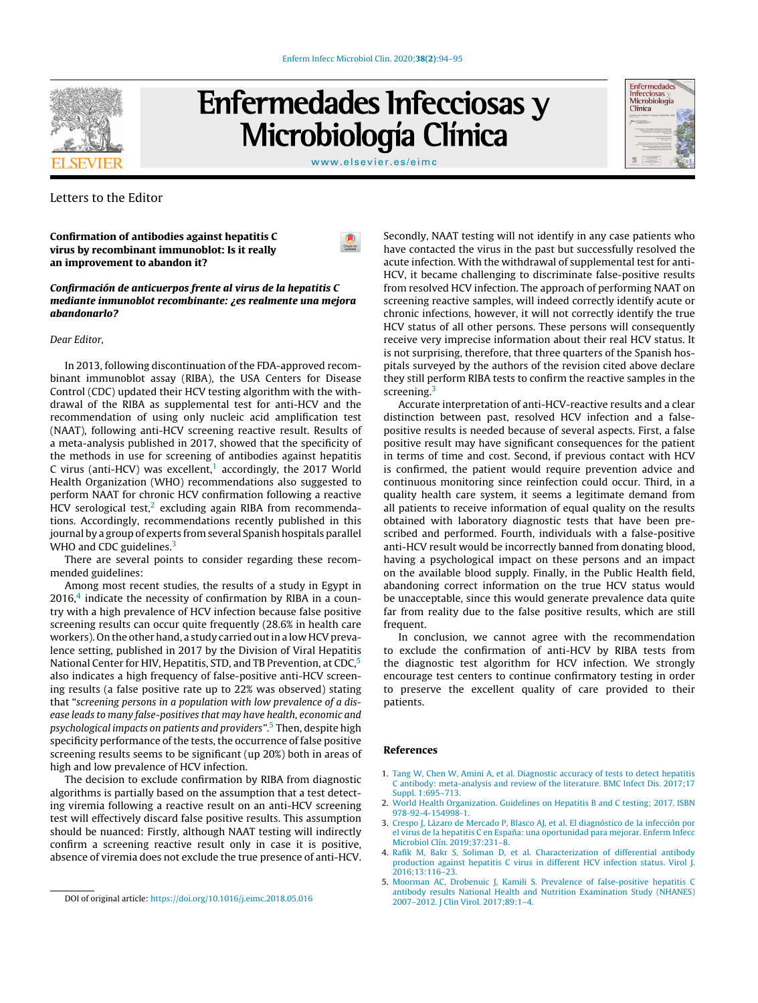

Enfermedades Infecciosas y Microbiología Clínica

[www.elsevier.es/eimc](http://www.elsevier.es/eimc)



# Letters to the Editor

Confirmation of antibodies against hepatitis C virus by recombinant immunoblot: Is it really an improvement to abandon it?

## Confirmación de anticuerpos frente al virus de la hepatitis C mediante inmunoblot recombinante: ¿es realmente una mejora abandonarlo?

#### Dear Editor,

In 2013, following discontinuation of the FDA-approved recombinant immunoblot assay (RIBA), the USA Centers for Disease Control (CDC) updated their HCV testing algorithm with the withdrawal of the RIBA as supplemental test for anti-HCV and the recommendation of using only nucleic acid amplification test (NAAT), following anti-HCV screening reactive result. Results of a meta-analysis published in 2017, showed that the specificity of the methods in use for screening of antibodies against hepatitis C virus (anti-HCV) was excellent, $1$  accordingly, the 2017 World Health Organization (WHO) recommendations also suggested to perform NAAT for chronic HCV confirmation following a reactive HCV serological test, $2$  excluding again RIBA from recommendations. Accordingly, recommendations recently published in this journal by a group of experts from several Spanish hospitals parallel WHO and CDC guidelines.<sup>3</sup>

There are several points to consider regarding these recommended guidelines:

Among most recent studies, the results of a study in Egypt in  $2016<sup>4</sup>$  indicate the necessity of confirmation by RIBA in a country with a high prevalence of HCV infection because false positive screening results can occur quite frequently (28.6% in health care workers). On the other hand, a study carried out in a low HCV prevalence setting, published in 2017 by the Division of Viral Hepatitis National Center for HIV, Hepatitis, STD, and TB Prevention, at CDC,<sup>5</sup> also indicates a high frequency of false-positive anti-HCV screening results (a false positive rate up to 22% was observed) stating that "screening persons in a population with low prevalence of a disease leads to many false-positives that may have health, economic and psychological impacts on patients and providers".<sup>5</sup> Then, despite high specificity performance of the tests, the occurrence of false positive screening results seems to be significant (up 20%) both in areas of high and low prevalence of HCV infection.

The decision to exclude confirmation by RIBA from diagnostic algorithms is partially based on the assumption that a test detecting viremia following a reactive result on an anti-HCV screening test will effectively discard false positive results. This assumption should be nuanced: Firstly, although NAAT testing will indirectly confirm a screening reactive result only in case it is positive, absence of viremia does not exclude the true presence of anti-HCV. Secondly, NAAT testing will not identify in any case patients who have contacted the virus in the past but successfully resolved the acute infection. With the withdrawal of supplemental test for anti-HCV, it became challenging to discriminate false-positive results from resolved HCV infection. The approach of performing NAAT on screening reactive samples, will indeed correctly identify acute or chronic infections, however, it will not correctly identify the true HCV status of all other persons. These persons will consequently receive very imprecise information about their real HCV status. It is not surprising, therefore, that three quarters of the Spanish hospitals surveyed by the authors of the revision cited above declare they still perform RIBA tests to confirm the reactive samples in the screening.<sup>3</sup>

Accurate interpretation of anti-HCV-reactive results and a clear distinction between past, resolved HCV infection and a falsepositive results is needed because of several aspects. First, a false positive result may have significant consequences for the patient in terms of time and cost. Second, if previous contact with HCV is confirmed, the patient would require prevention advice and continuous monitoring since reinfection could occur. Third, in a quality health care system, it seems a legitimate demand from all patients to receive information of equal quality on the results obtained with laboratory diagnostic tests that have been prescribed and performed. Fourth, individuals with a false-positive anti-HCV result would be incorrectly banned from donating blood, having a psychological impact on these persons and an impact on the available blood supply. Finally, in the Public Health field, abandoning correct information on the true HCV status would be unacceptable, since this would generate prevalence data quite far from reality due to the false positive results, which are still frequent.

In conclusion, we cannot agree with the recommendation to exclude the confirmation of anti-HCV by RIBA tests from the diagnostic test algorithm for HCV infection. We strongly encourage test centers to continue confirmatory testing in order to preserve the excellent quality of care provided to their patients.

### References

- 1. [Tang](http://refhub.elsevier.com/S0213-005X(19)30190-9/sbref0030) [W,](http://refhub.elsevier.com/S0213-005X(19)30190-9/sbref0030) [Chen](http://refhub.elsevier.com/S0213-005X(19)30190-9/sbref0030) [W,](http://refhub.elsevier.com/S0213-005X(19)30190-9/sbref0030) [Amini](http://refhub.elsevier.com/S0213-005X(19)30190-9/sbref0030) [A,](http://refhub.elsevier.com/S0213-005X(19)30190-9/sbref0030) [et](http://refhub.elsevier.com/S0213-005X(19)30190-9/sbref0030) [al.](http://refhub.elsevier.com/S0213-005X(19)30190-9/sbref0030) [Diagnostic](http://refhub.elsevier.com/S0213-005X(19)30190-9/sbref0030) [accuracy](http://refhub.elsevier.com/S0213-005X(19)30190-9/sbref0030) [of](http://refhub.elsevier.com/S0213-005X(19)30190-9/sbref0030) [tests](http://refhub.elsevier.com/S0213-005X(19)30190-9/sbref0030) [to](http://refhub.elsevier.com/S0213-005X(19)30190-9/sbref0030) [detect](http://refhub.elsevier.com/S0213-005X(19)30190-9/sbref0030) [hepatitis](http://refhub.elsevier.com/S0213-005X(19)30190-9/sbref0030) [C](http://refhub.elsevier.com/S0213-005X(19)30190-9/sbref0030) [antibody:](http://refhub.elsevier.com/S0213-005X(19)30190-9/sbref0030) [meta-analysis](http://refhub.elsevier.com/S0213-005X(19)30190-9/sbref0030) [and](http://refhub.elsevier.com/S0213-005X(19)30190-9/sbref0030) [review](http://refhub.elsevier.com/S0213-005X(19)30190-9/sbref0030) [of](http://refhub.elsevier.com/S0213-005X(19)30190-9/sbref0030) [the](http://refhub.elsevier.com/S0213-005X(19)30190-9/sbref0030) [literature.](http://refhub.elsevier.com/S0213-005X(19)30190-9/sbref0030) [BMC](http://refhub.elsevier.com/S0213-005X(19)30190-9/sbref0030) [Infect](http://refhub.elsevier.com/S0213-005X(19)30190-9/sbref0030) [Dis.](http://refhub.elsevier.com/S0213-005X(19)30190-9/sbref0030) [2017;17](http://refhub.elsevier.com/S0213-005X(19)30190-9/sbref0030) [Suppl.](http://refhub.elsevier.com/S0213-005X(19)30190-9/sbref0030) [1:695](http://refhub.elsevier.com/S0213-005X(19)30190-9/sbref0030)–[713.](http://refhub.elsevier.com/S0213-005X(19)30190-9/sbref0030)
- 2. [World](http://refhub.elsevier.com/S0213-005X(19)30190-9/sbref0035) [Health](http://refhub.elsevier.com/S0213-005X(19)30190-9/sbref0035) [Organization.](http://refhub.elsevier.com/S0213-005X(19)30190-9/sbref0035) [Guidelines](http://refhub.elsevier.com/S0213-005X(19)30190-9/sbref0035) [on](http://refhub.elsevier.com/S0213-005X(19)30190-9/sbref0035) [Hepatitis](http://refhub.elsevier.com/S0213-005X(19)30190-9/sbref0035) [B](http://refhub.elsevier.com/S0213-005X(19)30190-9/sbref0035) [and](http://refhub.elsevier.com/S0213-005X(19)30190-9/sbref0035) [C](http://refhub.elsevier.com/S0213-005X(19)30190-9/sbref0035) [testing;](http://refhub.elsevier.com/S0213-005X(19)30190-9/sbref0035) [2017.](http://refhub.elsevier.com/S0213-005X(19)30190-9/sbref0035) [ISBN](http://refhub.elsevier.com/S0213-005X(19)30190-9/sbref0035) [978-92-4-154998-1.](http://refhub.elsevier.com/S0213-005X(19)30190-9/sbref0035)
- 3. [Crespo](http://refhub.elsevier.com/S0213-005X(19)30190-9/sbref0040) [J,](http://refhub.elsevier.com/S0213-005X(19)30190-9/sbref0040) [Lázaro](http://refhub.elsevier.com/S0213-005X(19)30190-9/sbref0040) [de](http://refhub.elsevier.com/S0213-005X(19)30190-9/sbref0040) [Mercado](http://refhub.elsevier.com/S0213-005X(19)30190-9/sbref0040) [P,](http://refhub.elsevier.com/S0213-005X(19)30190-9/sbref0040) [Blasco](http://refhub.elsevier.com/S0213-005X(19)30190-9/sbref0040) [AJ,](http://refhub.elsevier.com/S0213-005X(19)30190-9/sbref0040) [et](http://refhub.elsevier.com/S0213-005X(19)30190-9/sbref0040) [al.](http://refhub.elsevier.com/S0213-005X(19)30190-9/sbref0040) [El](http://refhub.elsevier.com/S0213-005X(19)30190-9/sbref0040) [diagnóstico](http://refhub.elsevier.com/S0213-005X(19)30190-9/sbref0040) [de](http://refhub.elsevier.com/S0213-005X(19)30190-9/sbref0040) [la](http://refhub.elsevier.com/S0213-005X(19)30190-9/sbref0040) [infección](http://refhub.elsevier.com/S0213-005X(19)30190-9/sbref0040) [por](http://refhub.elsevier.com/S0213-005X(19)30190-9/sbref0040) [el](http://refhub.elsevier.com/S0213-005X(19)30190-9/sbref0040) [virus](http://refhub.elsevier.com/S0213-005X(19)30190-9/sbref0040) [de](http://refhub.elsevier.com/S0213-005X(19)30190-9/sbref0040) [la](http://refhub.elsevier.com/S0213-005X(19)30190-9/sbref0040) [hepatitis](http://refhub.elsevier.com/S0213-005X(19)30190-9/sbref0040) [C](http://refhub.elsevier.com/S0213-005X(19)30190-9/sbref0040) [en](http://refhub.elsevier.com/S0213-005X(19)30190-9/sbref0040) España: [una](http://refhub.elsevier.com/S0213-005X(19)30190-9/sbref0040) [oportunidad](http://refhub.elsevier.com/S0213-005X(19)30190-9/sbref0040) [para](http://refhub.elsevier.com/S0213-005X(19)30190-9/sbref0040) [mejorar.](http://refhub.elsevier.com/S0213-005X(19)30190-9/sbref0040) [Enferm](http://refhub.elsevier.com/S0213-005X(19)30190-9/sbref0040) [Infecc](http://refhub.elsevier.com/S0213-005X(19)30190-9/sbref0040) [Microbiol](http://refhub.elsevier.com/S0213-005X(19)30190-9/sbref0040) [Clín.](http://refhub.elsevier.com/S0213-005X(19)30190-9/sbref0040) [2019;37:231–8.](http://refhub.elsevier.com/S0213-005X(19)30190-9/sbref0040)
- 4. [Rafik](http://refhub.elsevier.com/S0213-005X(19)30190-9/sbref0045) [M,](http://refhub.elsevier.com/S0213-005X(19)30190-9/sbref0045) [Bakr](http://refhub.elsevier.com/S0213-005X(19)30190-9/sbref0045) [S,](http://refhub.elsevier.com/S0213-005X(19)30190-9/sbref0045) [Soliman](http://refhub.elsevier.com/S0213-005X(19)30190-9/sbref0045) [D,](http://refhub.elsevier.com/S0213-005X(19)30190-9/sbref0045) [et](http://refhub.elsevier.com/S0213-005X(19)30190-9/sbref0045) [al.](http://refhub.elsevier.com/S0213-005X(19)30190-9/sbref0045) [Characterization](http://refhub.elsevier.com/S0213-005X(19)30190-9/sbref0045) [of](http://refhub.elsevier.com/S0213-005X(19)30190-9/sbref0045) [differential](http://refhub.elsevier.com/S0213-005X(19)30190-9/sbref0045) [antibody](http://refhub.elsevier.com/S0213-005X(19)30190-9/sbref0045) [production](http://refhub.elsevier.com/S0213-005X(19)30190-9/sbref0045) [against](http://refhub.elsevier.com/S0213-005X(19)30190-9/sbref0045) [hepatitis](http://refhub.elsevier.com/S0213-005X(19)30190-9/sbref0045) [C](http://refhub.elsevier.com/S0213-005X(19)30190-9/sbref0045) [virus](http://refhub.elsevier.com/S0213-005X(19)30190-9/sbref0045) [in](http://refhub.elsevier.com/S0213-005X(19)30190-9/sbref0045) [different](http://refhub.elsevier.com/S0213-005X(19)30190-9/sbref0045) [HCV](http://refhub.elsevier.com/S0213-005X(19)30190-9/sbref0045) [infection](http://refhub.elsevier.com/S0213-005X(19)30190-9/sbref0045) [status.](http://refhub.elsevier.com/S0213-005X(19)30190-9/sbref0045) [Virol](http://refhub.elsevier.com/S0213-005X(19)30190-9/sbref0045) [J.](http://refhub.elsevier.com/S0213-005X(19)30190-9/sbref0045) [2016;13:116–23.](http://refhub.elsevier.com/S0213-005X(19)30190-9/sbref0045)
- 5. [Moorman](http://refhub.elsevier.com/S0213-005X(19)30190-9/sbref0050) [AC,](http://refhub.elsevier.com/S0213-005X(19)30190-9/sbref0050) [Drobenuic](http://refhub.elsevier.com/S0213-005X(19)30190-9/sbref0050) [J,](http://refhub.elsevier.com/S0213-005X(19)30190-9/sbref0050) [Kamili](http://refhub.elsevier.com/S0213-005X(19)30190-9/sbref0050) [S.](http://refhub.elsevier.com/S0213-005X(19)30190-9/sbref0050) [Prevalence](http://refhub.elsevier.com/S0213-005X(19)30190-9/sbref0050) [of](http://refhub.elsevier.com/S0213-005X(19)30190-9/sbref0050) [false-positive](http://refhub.elsevier.com/S0213-005X(19)30190-9/sbref0050) [hepatitis](http://refhub.elsevier.com/S0213-005X(19)30190-9/sbref0050) [C](http://refhub.elsevier.com/S0213-005X(19)30190-9/sbref0050) [antibody](http://refhub.elsevier.com/S0213-005X(19)30190-9/sbref0050) [results](http://refhub.elsevier.com/S0213-005X(19)30190-9/sbref0050) [National](http://refhub.elsevier.com/S0213-005X(19)30190-9/sbref0050) [Health](http://refhub.elsevier.com/S0213-005X(19)30190-9/sbref0050) [and](http://refhub.elsevier.com/S0213-005X(19)30190-9/sbref0050) [Nutrition](http://refhub.elsevier.com/S0213-005X(19)30190-9/sbref0050) [Examination](http://refhub.elsevier.com/S0213-005X(19)30190-9/sbref0050) [Study](http://refhub.elsevier.com/S0213-005X(19)30190-9/sbref0050) [\(NHANES\)](http://refhub.elsevier.com/S0213-005X(19)30190-9/sbref0050) [2007–2012.](http://refhub.elsevier.com/S0213-005X(19)30190-9/sbref0050) [J](http://refhub.elsevier.com/S0213-005X(19)30190-9/sbref0050) [Clin](http://refhub.elsevier.com/S0213-005X(19)30190-9/sbref0050) [Virol.](http://refhub.elsevier.com/S0213-005X(19)30190-9/sbref0050) [2017;89:1–4.](http://refhub.elsevier.com/S0213-005X(19)30190-9/sbref0050)

DOI of original article: <https://doi.org/10.1016/j.eimc.2018.05.016>